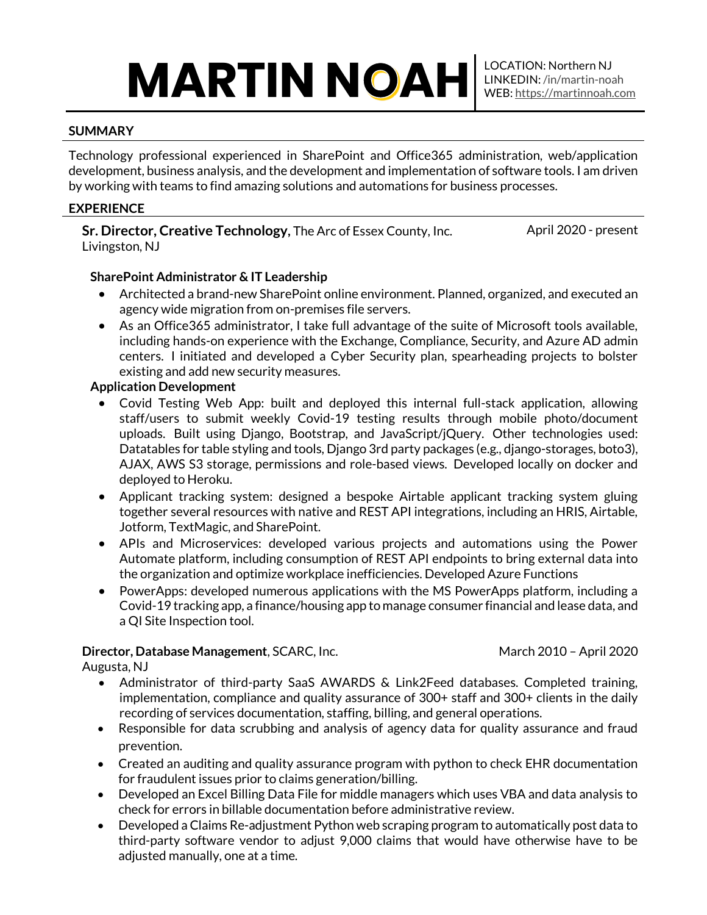# **MARTIN NOAH**

#### **SUMMARY**

Technology professional experienced in SharePoint and Office365 administration, web/application development, business analysis, and the development and implementation of software tools. I am driven by working with teams to find amazing solutions and automations for business processes.

## **EXPERIENCE**

**Sr. Director, Creative Technology,** The Arc of Essex County, Inc. Livingston, NJ

April 2020 - present

## **SharePoint Administrator & IT Leadership**

- Architected a brand-new SharePoint online environment. Planned, organized, and executed an agency wide migration from on-premises file servers.
- As an Office365 administrator, I take full advantage of the suite of Microsoft tools available, including hands-on experience with the Exchange, Compliance, Security, and Azure AD admin centers. I initiated and developed a Cyber Security plan, spearheading projects to bolster existing and add new security measures.

## **Application Development**

- Covid Testing Web App: built and deployed this internal full-stack application, allowing staff/users to submit weekly Covid-19 testing results through mobile photo/document uploads. Built using Django, Bootstrap, and JavaScript/jQuery. Other technologies used: Datatables for table styling and tools, Django 3rd party packages (e.g., django-storages, boto3), AJAX, AWS S3 storage, permissions and role-based views. Developed locally on docker and deployed to Heroku.
- Applicant tracking system: designed a bespoke Airtable applicant tracking system gluing together several resources with native and REST API integrations, including an HRIS, Airtable, Jotform, TextMagic, and SharePoint.
- APIs and Microservices: developed various projects and automations using the Power Automate platform, including consumption of REST API endpoints to bring external data into the organization and optimize workplace inefficiencies. Developed Azure Functions
- PowerApps: developed numerous applications with the MS PowerApps platform, including a Covid-19 tracking app, a finance/housing app to manage consumer financial and lease data, and a QI Site Inspection tool.

## **Director, Database Management**, SCARC, Inc.

March 2010 – April 2020

Augusta, NJ

- Administrator of third-party SaaS AWARDS & Link2Feed databases. Completed training, implementation, compliance and quality assurance of 300+ staff and 300+ clients in the daily recording of services documentation, staffing, billing, and general operations.
- Responsible for data scrubbing and analysis of agency data for quality assurance and fraud prevention.
- Created an auditing and quality assurance program with python to check EHR documentation for fraudulent issues prior to claims generation/billing.
- Developed an Excel Billing Data File for middle managers which uses VBA and data analysis to check for errors in billable documentation before administrative review.
- Developed a Claims Re-adjustment Python web scraping program to automatically post data to third-party software vendor to adjust 9,000 claims that would have otherwise have to be adjusted manually, one at a time.